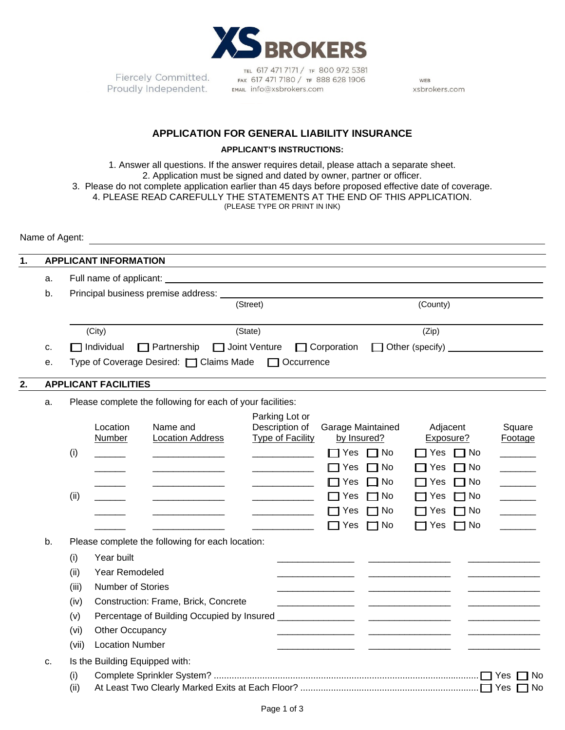

Fiercely Committed. Proudly Independent.

TEL 617 471 7171 / TF 800 972 5381 FAX 617 471 7180 / TF 888 628 1906 EMAIL info@xsbrokers.com

WEB xsbrokers.com

## **APPLICATION FOR GENERAL LIABILITY INSURANCE**

## **APPLICANT'S INSTRUCTIONS:**

1. Answer all questions. If the answer requires detail, please attach a separate sheet. 2. Application must be signed and dated by owner, partner or officer. 3. Please do not complete application earlier than 45 days before proposed effective date of coverage. 4. PLEASE READ CAREFULLY THE STATEMENTS AT THE END OF THIS APPLICATION. (PLEASE TYPE OR PRINT IN INK)

Name of Agent:

| 1. |                                                                  |                                                                                                                                                                                                                                | <b>APPLICANT INFORMATION</b> |                                      |  |                                                                      |                    |                                  |                       |                   |                          |  |
|----|------------------------------------------------------------------|--------------------------------------------------------------------------------------------------------------------------------------------------------------------------------------------------------------------------------|------------------------------|--------------------------------------|--|----------------------------------------------------------------------|--------------------|----------------------------------|-----------------------|-------------------|--------------------------|--|
|    | a.                                                               |                                                                                                                                                                                                                                |                              |                                      |  |                                                                      |                    |                                  |                       |                   |                          |  |
|    | b.                                                               | Principal business premise address: North American Contract of the American Contract of the American Contract of the American Contract of the American Contract of the American Contract of the American Contract of the Ameri |                              |                                      |  |                                                                      |                    |                                  |                       |                   |                          |  |
|    |                                                                  | (City)<br>1 Individual<br>Joint Venture<br>$\Box$ Partnership<br>Type of Coverage Desired: □ Claims Made                                                                                                                       |                              |                                      |  | (Street)<br>(State)                                                  |                    |                                  |                       | (County)<br>(Zip) |                          |  |
|    |                                                                  |                                                                                                                                                                                                                                |                              |                                      |  |                                                                      |                    |                                  |                       |                   |                          |  |
|    | c.                                                               |                                                                                                                                                                                                                                |                              |                                      |  |                                                                      | $\Box$ Corporation |                                  |                       |                   |                          |  |
|    | е.                                                               |                                                                                                                                                                                                                                |                              |                                      |  | Other (specify) <u>________________________</u><br>$\Box$ Occurrence |                    |                                  |                       |                   |                          |  |
|    |                                                                  |                                                                                                                                                                                                                                |                              |                                      |  |                                                                      |                    |                                  |                       |                   |                          |  |
| 2. |                                                                  | <b>APPLICANT FACILITIES</b>                                                                                                                                                                                                    |                              |                                      |  |                                                                      |                    |                                  |                       |                   |                          |  |
|    | Please complete the following for each of your facilities:<br>a. |                                                                                                                                                                                                                                |                              |                                      |  |                                                                      |                    |                                  |                       |                   |                          |  |
|    |                                                                  |                                                                                                                                                                                                                                |                              |                                      |  | Parking Lot or                                                       |                    |                                  |                       |                   |                          |  |
|    |                                                                  |                                                                                                                                                                                                                                | Location<br><b>Number</b>    | Name and<br><b>Location Address</b>  |  | Description of<br><b>Type of Facility</b>                            |                    | Garage Maintained<br>by Insured? | Adjacent<br>Exposure? |                   | Square<br>Footage        |  |
|    |                                                                  | (i)                                                                                                                                                                                                                            |                              |                                      |  |                                                                      | $\Box$ Yes         | $\sqcap$ No                      | $\Box$ Yes            | $\Box$ No         |                          |  |
|    |                                                                  |                                                                                                                                                                                                                                |                              |                                      |  |                                                                      | ∏ Yes              | No T                             | Yes                   | $\Box$ No         |                          |  |
|    |                                                                  |                                                                                                                                                                                                                                |                              |                                      |  |                                                                      | l⊟ Yes             | No T                             | ヿ Yes                 | $\Box$ No         | $\overline{\phantom{a}}$ |  |
|    |                                                                  | (ii)                                                                                                                                                                                                                           |                              |                                      |  |                                                                      | ⊟ Yes              | No                               | I ∃ Yes               | $\Box$ No         | $\overline{\phantom{a}}$ |  |
|    |                                                                  |                                                                                                                                                                                                                                |                              |                                      |  |                                                                      | $\Box$ Yes         | مN ٦                             | ∏ Yes                 | $\Box$ No         |                          |  |
|    |                                                                  |                                                                                                                                                                                                                                |                              |                                      |  |                                                                      | $\Box$ Yes         | 7 No                             | $\Box$ Yes            | $\Box$ No         |                          |  |
|    | b.<br>Please complete the following for each location:           |                                                                                                                                                                                                                                |                              |                                      |  |                                                                      |                    |                                  |                       |                   |                          |  |
|    |                                                                  | (i)                                                                                                                                                                                                                            | Year built                   |                                      |  |                                                                      |                    |                                  |                       |                   |                          |  |
|    |                                                                  | (ii)                                                                                                                                                                                                                           | Year Remodeled               |                                      |  |                                                                      |                    |                                  |                       |                   |                          |  |
|    |                                                                  | (iii)                                                                                                                                                                                                                          | Number of Stories            |                                      |  |                                                                      |                    |                                  |                       |                   |                          |  |
|    |                                                                  | (iv)                                                                                                                                                                                                                           |                              | Construction: Frame, Brick, Concrete |  |                                                                      |                    |                                  |                       |                   |                          |  |
|    |                                                                  | Percentage of Building Occupied by Insured _______________<br>(v)                                                                                                                                                              |                              |                                      |  |                                                                      |                    |                                  |                       |                   |                          |  |
|    |                                                                  | (vi)                                                                                                                                                                                                                           | Other Occupancy              |                                      |  |                                                                      |                    |                                  |                       |                   |                          |  |
|    |                                                                  | (vii)                                                                                                                                                                                                                          | <b>Location Number</b>       |                                      |  |                                                                      |                    |                                  |                       |                   |                          |  |
|    | C <sub>1</sub>                                                   |                                                                                                                                                                                                                                |                              | Is the Building Equipped with:       |  |                                                                      |                    |                                  |                       |                   |                          |  |
|    |                                                                  | (i)                                                                                                                                                                                                                            |                              |                                      |  |                                                                      |                    |                                  |                       |                   | <b>No</b>                |  |
|    |                                                                  | (ii)                                                                                                                                                                                                                           |                              |                                      |  |                                                                      |                    |                                  |                       |                   | No                       |  |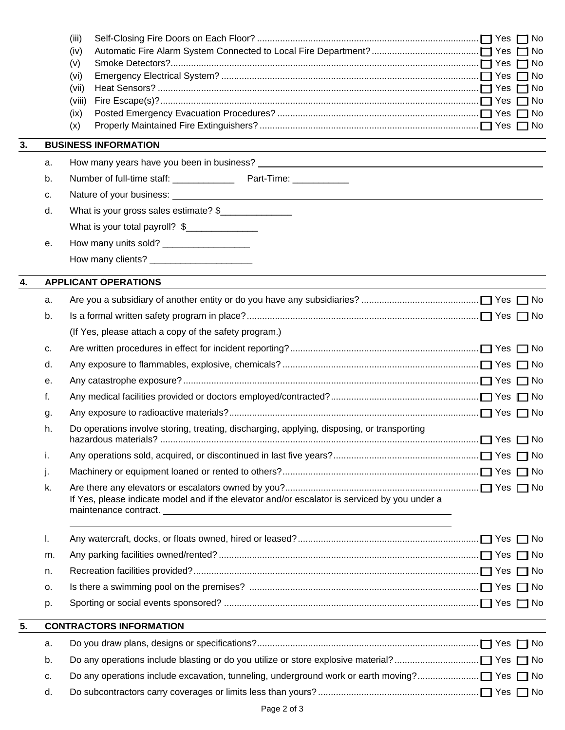|    |    | (iii)                                                                                         |    |
|----|----|-----------------------------------------------------------------------------------------------|----|
|    |    | (iv)                                                                                          |    |
|    |    | (v)                                                                                           |    |
|    |    | (vi)<br>(vii)                                                                                 |    |
|    |    | (viii)                                                                                        | No |
|    |    | (ix)                                                                                          |    |
|    |    | (x)                                                                                           |    |
| 3. |    | <b>BUSINESS INFORMATION</b>                                                                   |    |
|    | а. |                                                                                               |    |
|    | b. |                                                                                               |    |
|    | c. |                                                                                               |    |
|    | d. | What is your gross sales estimate? \$                                                         |    |
|    |    | What is your total payroll? \$                                                                |    |
|    | е. |                                                                                               |    |
|    |    | How many clients?<br><u> </u>                                                                 |    |
| 4. |    | <b>APPLICANT OPERATIONS</b>                                                                   |    |
|    | a. |                                                                                               |    |
|    | b. |                                                                                               |    |
|    |    | (If Yes, please attach a copy of the safety program.)                                         |    |
|    | c. |                                                                                               |    |
|    | d. |                                                                                               |    |
|    | е. |                                                                                               |    |
|    | f. |                                                                                               |    |
|    | g. |                                                                                               |    |
|    | h. | Do operations involve storing, treating, discharging, applying, disposing, or transporting    |    |
|    | i. |                                                                                               |    |
|    | j. |                                                                                               |    |
|    | k. | If Yes, please indicate model and if the elevator and/or escalator is serviced by you under a |    |
|    | I. |                                                                                               |    |
|    | m. |                                                                                               |    |
|    | n. |                                                                                               |    |
|    | 0. |                                                                                               |    |
|    | p. |                                                                                               |    |
| 5. |    | <b>CONTRACTORS INFORMATION</b>                                                                |    |
|    | a. |                                                                                               |    |
|    | b. |                                                                                               |    |
|    | c. |                                                                                               |    |
|    | d. |                                                                                               |    |
|    |    |                                                                                               |    |